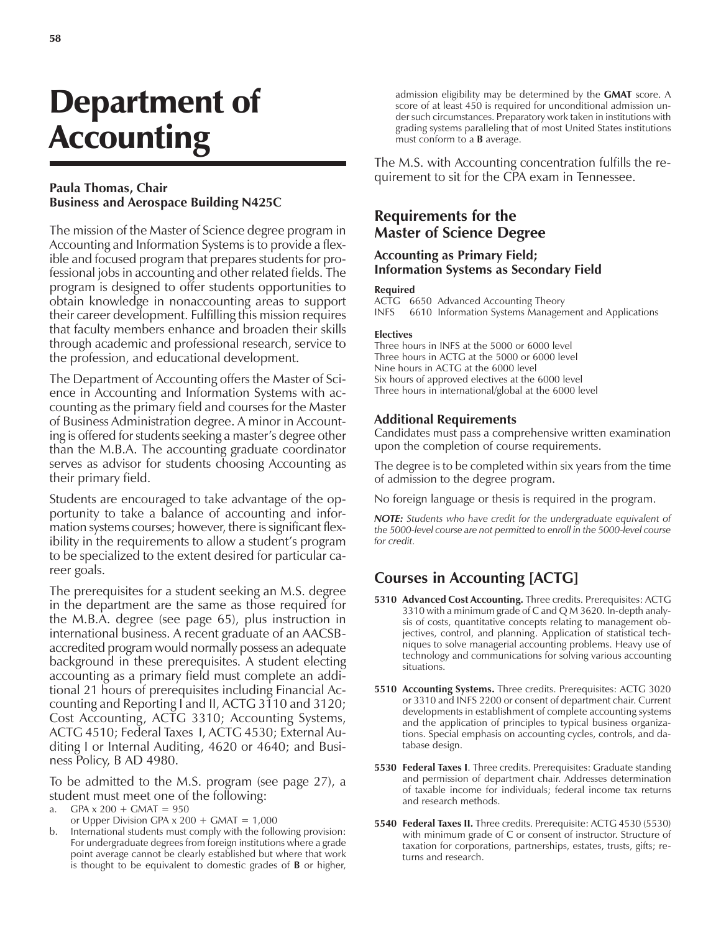# Department of **Accounting**

## **Paula Thomas, Chair Business and Aerospace Building N425C**

The mission of the Master of Science degree program in Accounting and Information Systems is to provide a flexible and focused program that prepares students for professional jobs in accounting and other related fields. The program is designed to offer students opportunities to obtain knowledge in nonaccounting areas to support their career development. Fulfilling this mission requires that faculty members enhance and broaden their skills through academic and professional research, service to the profession, and educational development.

The Department of Accounting offers the Master of Science in Accounting and Information Systems with accounting as the primary field and courses for the Master of Business Administration degree. A minor in Accounting is offered for students seeking a master's degree other than the M.B.A. The accounting graduate coordinator serves as advisor for students choosing Accounting as their primary field.

Students are encouraged to take advantage of the opportunity to take a balance of accounting and information systems courses; however, there is significant flexibility in the requirements to allow a student's program to be specialized to the extent desired for particular career goals.

The prerequisites for a student seeking an M.S. degree in the department are the same as those required for the M.B.A. degree (see page 65), plus instruction in international business. A recent graduate of an AACSBaccredited program would normally possess an adequate background in these prerequisites. A student electing accounting as a primary field must complete an additional 21 hours of prerequisites including Financial Accounting and Reporting I and II, ACTG 3110 and 3120; Cost Accounting, ACTG 3310; Accounting Systems, ACTG 4510; Federal Taxes I, ACTG 4530; External Auditing I or Internal Auditing, 4620 or 4640; and Business Policy, B AD 4980.

To be admitted to the M.S. program (see page 27), a student must meet one of the following:

- a. GPA  $x 200 + G$ MAT = 950
- or Upper Division GPA  $x$  200 + GMAT = 1,000
- b. International students must comply with the following provision: For undergraduate degrees from foreign institutions where a grade point average cannot be clearly established but where that work is thought to be equivalent to domestic grades of **B** or higher,

admission eligibility may be determined by the **GMAT** score. A score of at least 450 is required for unconditional admission under such circumstances. Preparatory work taken in institutions with grading systems paralleling that of most United States institutions must conform to a **B** average.

The M.S. with Accounting concentration fulfills the requirement to sit for the CPA exam in Tennessee.

## **Requirements for the Master of Science Degree**

## **Accounting as Primary Field; Information Systems as Secondary Field**

#### **Required**

ACTG 6650 Advanced Accounting Theory INFS 6610 Information Systems Management and Applications

#### **Electives**

Three hours in INFS at the 5000 or 6000 level Three hours in ACTG at the 5000 or 6000 level Nine hours in ACTG at the 6000 level Six hours of approved electives at the 6000 level Three hours in international/global at the 6000 level

### **Additional Requirements**

Candidates must pass a comprehensive written examination upon the completion of course requirements.

The degree is to be completed within six years from the time of admission to the degree program.

No foreign language or thesis is required in the program.

*NOTE: Students who have credit for the undergraduate equivalent of the 5000-level course are not permitted to enroll in the 5000-level course for credit.*

# **Courses in Accounting [ACTG]**

- **5310 Advanced Cost Accounting.** Three credits. Prerequisites: ACTG 3310 with a minimum grade of C and Q M 3620. In-depth analysis of costs, quantitative concepts relating to management objectives, control, and planning. Application of statistical techniques to solve managerial accounting problems. Heavy use of technology and communications for solving various accounting situations.
- **5510 Accounting Systems.** Three credits. Prerequisites: ACTG 3020 or 3310 and INFS 2200 or consent of department chair. Current developments in establishment of complete accounting systems and the application of principles to typical business organizations. Special emphasis on accounting cycles, controls, and database design.
- **5530 Federal Taxes I**. Three credits. Prerequisites: Graduate standing and permission of department chair. Addresses determination of taxable income for individuals; federal income tax returns and research methods.
- **5540 Federal Taxes II.** Three credits. Prerequisite: ACTG 4530 (5530) with minimum grade of C or consent of instructor. Structure of taxation for corporations, partnerships, estates, trusts, gifts; returns and research.